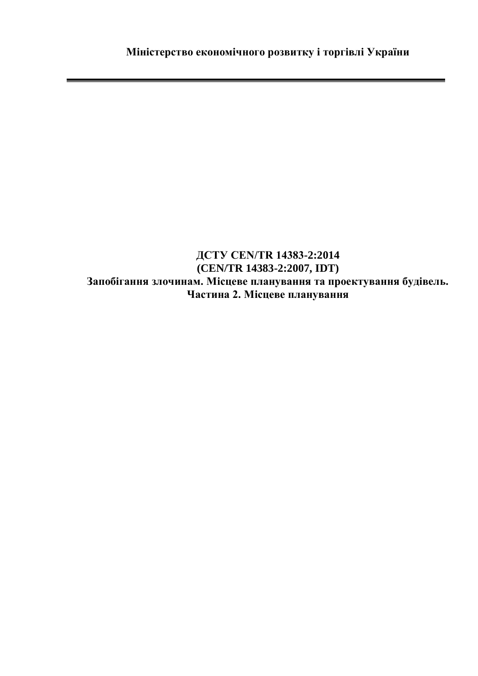## **ДСТУ CEN/TR 14383-2:2014 (CEN/TR 14383-2:2007, IDT) Запобігання злочинам. Місцеве планування та проектування будівель. Частина 2. Місцеве планування**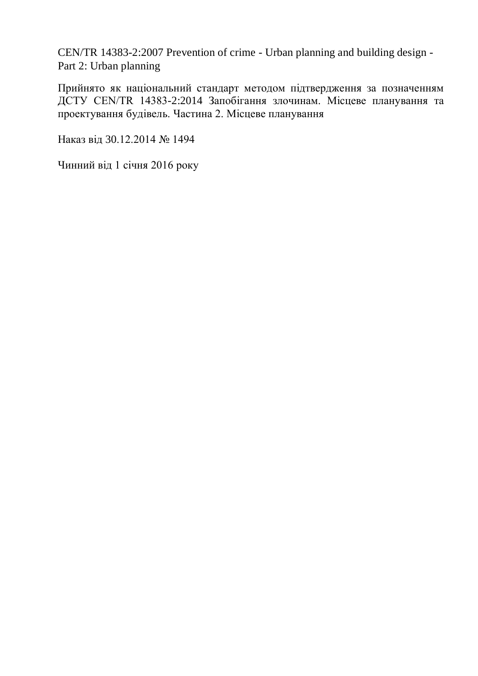CEN/TR 14383-2:2007 Prevention of crime - Urban planning and building design - Part 2: Urban planning

Прийнято як національний стандарт методом підтвердження за позначенням ДСТУ CEN/TR 14383-2:2014 Запобігання злочинам. Місцеве планування та проектування будівель. Частина 2. Місцеве планування

Наказ від 30.12.2014 № 1494

Чинний від 1 січня 2016 року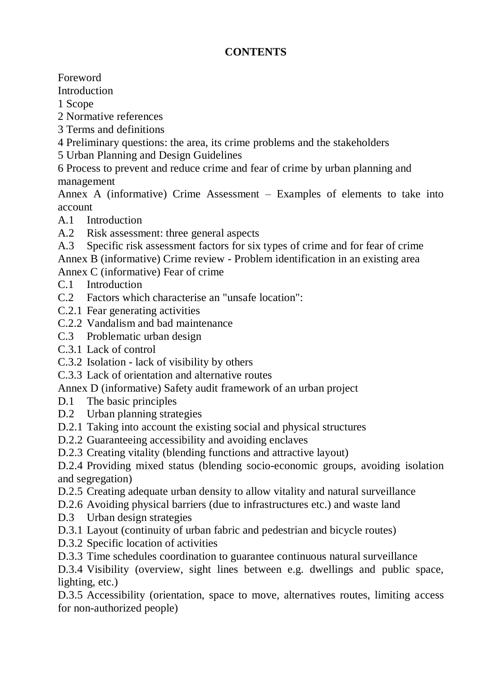## **CONTENTS**

Foreword

Introduction

1 Scope

2 Normative references

- 3 Terms and definitions
- 4 Preliminary questions: the area, its crime problems and the stakeholders
- 5 Urban Planning and Design Guidelines

6 Process to prevent and reduce crime and fear of crime by urban planning and management

Annex A (informative) Crime Assessment – Examples of elements to take into account

- A.1 Introduction
- A.2 Risk assessment: three general aspects
- A.3 Specific risk assessment factors for six types of crime and for fear of crime

Annex B (informative) Crime review - Problem identification in an existing area

Annex C (informative) Fear of crime

- C.1 Introduction
- C.2 Factors which characterise an "unsafe location":
- C.2.1 Fear generating activities
- C.2.2 Vandalism and bad maintenance
- C.3 Problematic urban design
- C.3.1 Lack of control
- C.3.2 Isolation lack of visibility by others
- C.3.3 Lack of orientation and alternative routes

Annex D (informative) Safety audit framework of an urban project

- D.1 The basic principles
- D.2 Urban planning strategies
- D.2.1 Taking into account the existing social and physical structures
- D.2.2 Guaranteeing accessibility and avoiding enclaves
- D.2.3 Creating vitality (blending functions and attractive layout)

D.2.4 Providing mixed status (blending socio-economic groups, avoiding isolation and segregation)

- D.2.5 Creating adequate urban density to allow vitality and natural surveillance
- D.2.6 Avoiding physical barriers (due to infrastructures etc.) and waste land
- D.3 Urban design strategies
- D.3.1 Layout (continuity of urban fabric and pedestrian and bicycle routes)
- D.3.2 Specific location of activities

D.3.3 Time schedules coordination to guarantee continuous natural surveillance

D.3.4 Visibility (overview, sight lines between e.g. dwellings and public space, lighting, etc.)

D.3.5 Accessibility (orientation, space to move, alternatives routes, limiting access for non-authorized people)